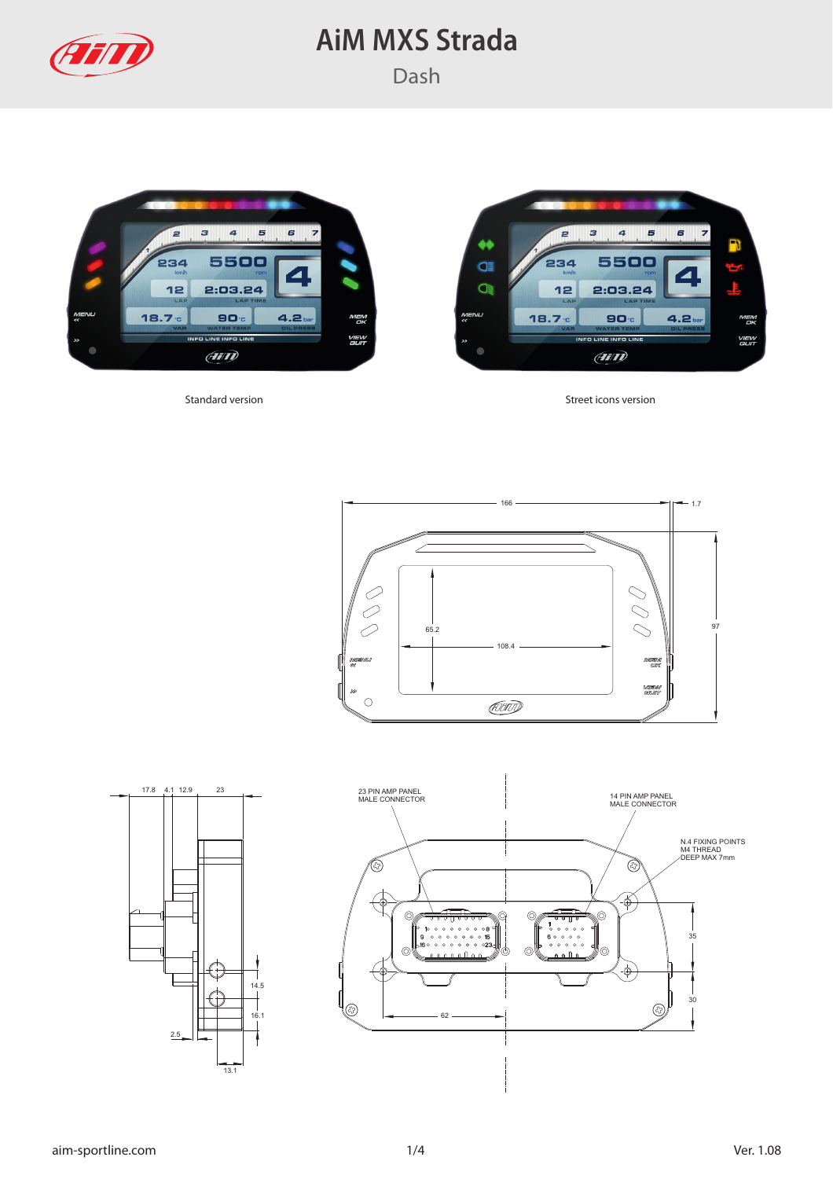





Standard version Standard version Street icons version





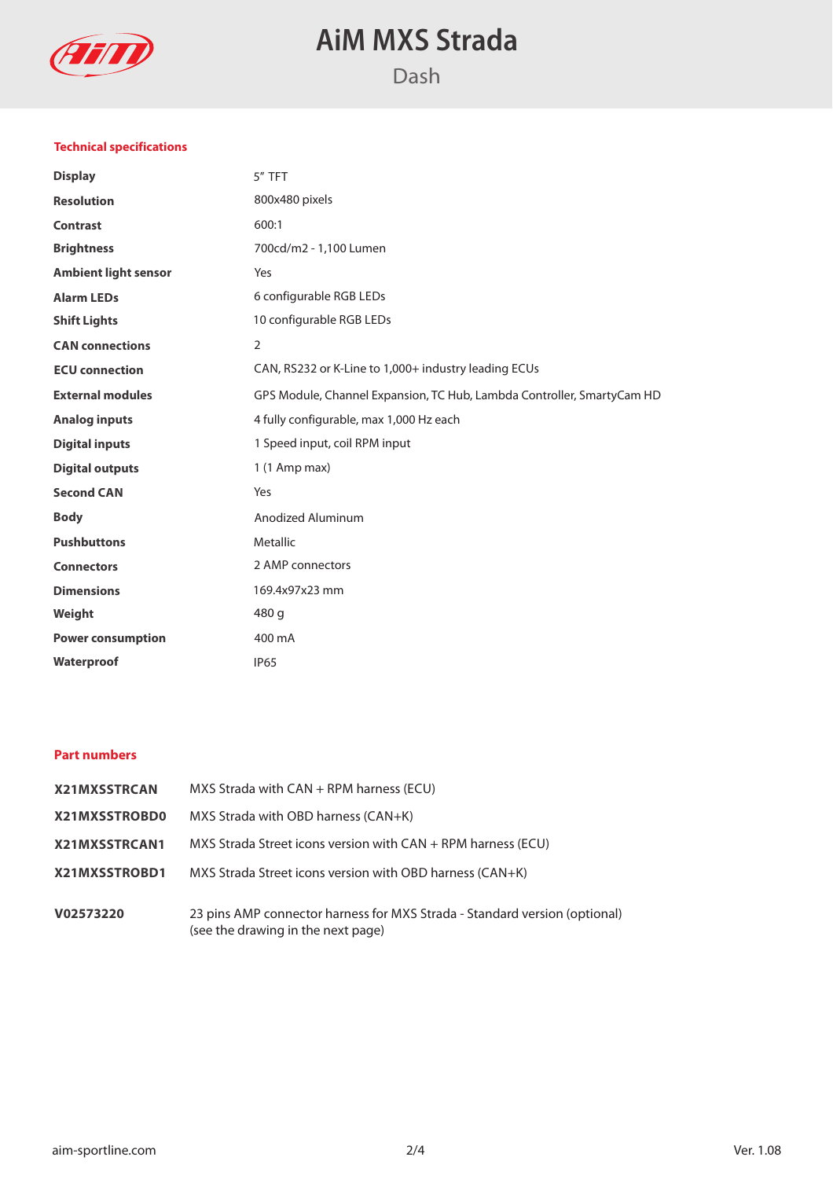

## **Technical specifications**

| <b>Display</b>              | 5" TFT                                                                 |  |
|-----------------------------|------------------------------------------------------------------------|--|
| <b>Resolution</b>           | 800x480 pixels                                                         |  |
| <b>Contrast</b>             | 600:1                                                                  |  |
| <b>Brightness</b>           | 700cd/m2 - 1,100 Lumen                                                 |  |
| <b>Ambient light sensor</b> | Yes                                                                    |  |
| <b>Alarm LEDs</b>           | 6 configurable RGB LEDs                                                |  |
| <b>Shift Lights</b>         | 10 configurable RGB LEDs                                               |  |
| <b>CAN</b> connections      | $\overline{2}$                                                         |  |
| <b>ECU</b> connection       | CAN, RS232 or K-Line to 1,000+ industry leading ECUs                   |  |
| <b>External modules</b>     | GPS Module, Channel Expansion, TC Hub, Lambda Controller, SmartyCam HD |  |
| <b>Analog inputs</b>        | 4 fully configurable, max 1,000 Hz each                                |  |
| <b>Digital inputs</b>       | 1 Speed input, coil RPM input                                          |  |
| <b>Digital outputs</b>      | $1(1$ Amp max)                                                         |  |
| <b>Second CAN</b>           | Yes                                                                    |  |
| <b>Body</b>                 | Anodized Aluminum                                                      |  |
| <b>Pushbuttons</b>          | Metallic                                                               |  |
| <b>Connectors</b>           | 2 AMP connectors                                                       |  |
| <b>Dimensions</b>           | 169.4x97x23 mm                                                         |  |
| Weight                      | 480 g                                                                  |  |
| <b>Power consumption</b>    | 400 mA                                                                 |  |
| Waterproof                  | <b>IP65</b>                                                            |  |

### **Part numbers**

| <b>X21MXSSTRCAN</b> | MXS Strada with $CAN + RPM$ harness (ECU)                                                                        |  |
|---------------------|------------------------------------------------------------------------------------------------------------------|--|
| X21MXSSTROBD0       | MXS Strada with OBD harness (CAN+K)                                                                              |  |
| X21MXSSTRCAN1       | $MXS$ Strada Street icons version with $CAN + RPM$ harness (ECU)                                                 |  |
| X21MXSSTROBD1       | MXS Strada Street icons version with OBD harness (CAN+K)                                                         |  |
| V02573220           | 23 pins AMP connector harness for MXS Strada - Standard version (optional)<br>(see the drawing in the next page) |  |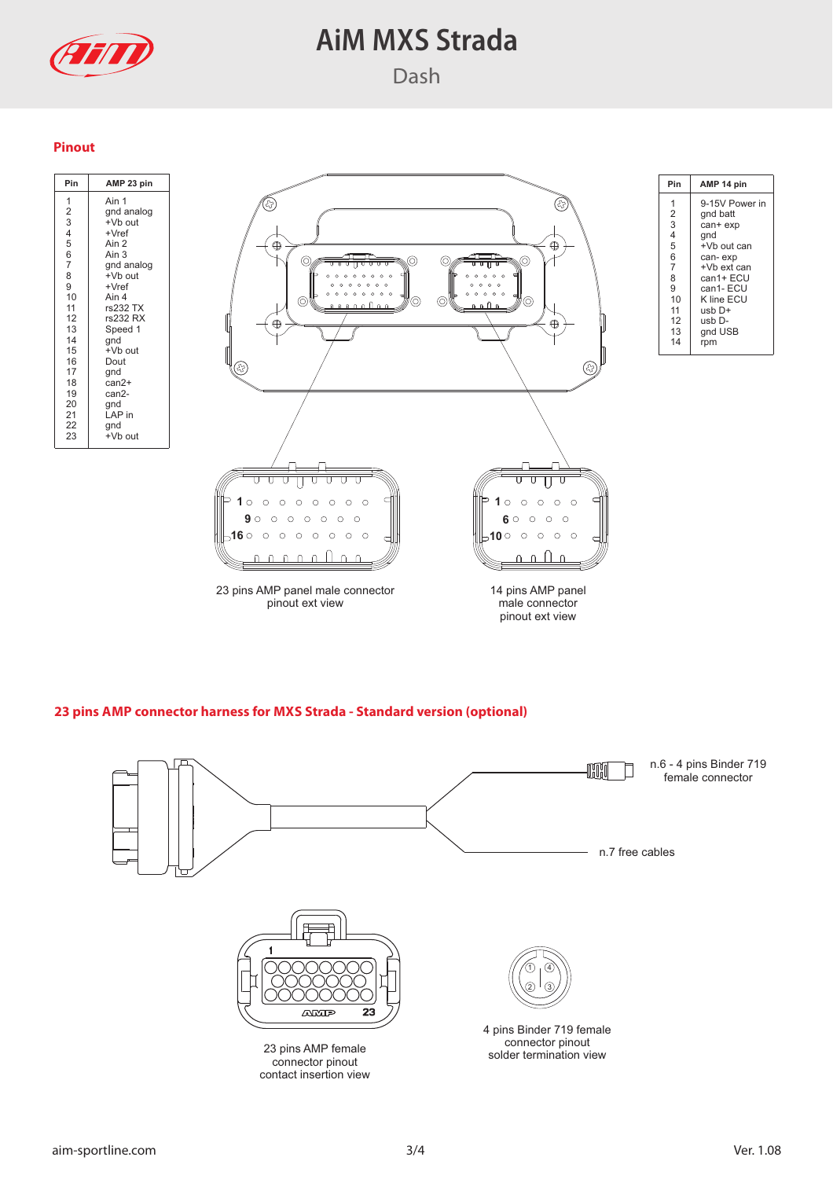

### **Pinout**

| Pin                                                                                                                                                                        | AMP 23 pin                                                                                                                                                                                                                                       |                                         |
|----------------------------------------------------------------------------------------------------------------------------------------------------------------------------|--------------------------------------------------------------------------------------------------------------------------------------------------------------------------------------------------------------------------------------------------|-----------------------------------------|
| 1<br>$\begin{array}{c}\n2 \\ 3 \\ 4 \\ 5\n\end{array}$<br>6<br>7<br>$\frac{1}{8}$<br>9<br>10<br>11<br>12<br>13<br>14<br>15<br>16<br>17<br>18<br>19<br>20<br>21<br>22<br>23 | Ain 1<br>gnd analog<br>+Vb out<br>$+Vref$<br>Ain 2<br>Ain 3<br>gnd analog<br>+Vb out<br>$+Vref$<br>Ain 4<br>rs232 TX<br>rs232 RX<br>Speed 1<br>gnd<br>+Vb out<br>Dout<br>gnd<br>$can2+$<br>can <sub>2</sub> -<br>gnd<br>LAP in<br>gnd<br>+Vb out | $\bigoplus$<br>C<br>O<br>$\dot{\Theta}$ |
|                                                                                                                                                                            |                                                                                                                                                                                                                                                  | O<br>О<br>O                             |



| Pin            | AMP 14 pin     |  |
|----------------|----------------|--|
| 1              | 9-15V Power in |  |
| 2              | gnd batt       |  |
| 3              | can+ exp       |  |
| 4              | qnd            |  |
| 5              | +Vb out can    |  |
| 6              | can-exp        |  |
| $\overline{7}$ | +Vb ext can    |  |
| 8              | can1+ FCU      |  |
| 9              | can1- ECU      |  |
| 10             | K line ECU     |  |
| 11             | usb D+         |  |
| 12             | usb D-         |  |
| 13             | gnd USB        |  |
| 14             | rpm            |  |

### **23 pins AMP connector harness for MXS Strada - Standard version (optional)**